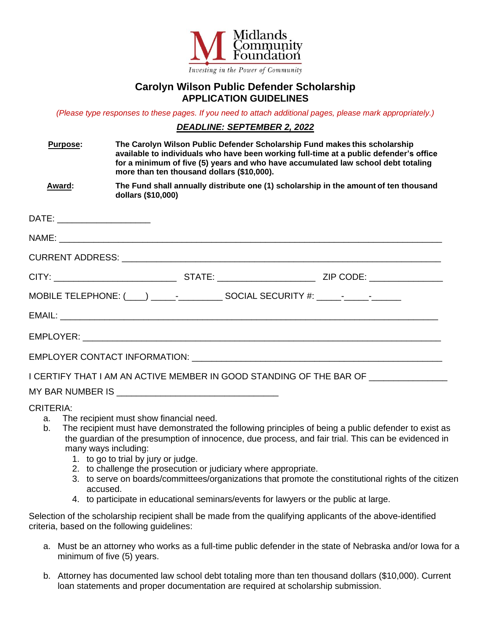

## **Carolyn Wilson Public Defender Scholarship APPLICATION GUIDELINES**

*(Please type responses to these pages. If you need to attach additional pages, please mark appropriately.)*

## *DEADLINE: SEPTEMBER 2, 2022*

| <b>Purpose:</b>                                                                  | The Carolyn Wilson Public Defender Scholarship Fund makes this scholarship<br>available to individuals who have been working full-time at a public defender's office<br>for a minimum of five (5) years and who have accumulated law school debt totaling<br>more than ten thousand dollars (\$10,000). |                                                                                      |
|----------------------------------------------------------------------------------|---------------------------------------------------------------------------------------------------------------------------------------------------------------------------------------------------------------------------------------------------------------------------------------------------------|--------------------------------------------------------------------------------------|
| <b>Award:</b>                                                                    | dollars (\$10,000)                                                                                                                                                                                                                                                                                      | The Fund shall annually distribute one (1) scholarship in the amount of ten thousand |
| DATE: ______________________                                                     |                                                                                                                                                                                                                                                                                                         |                                                                                      |
|                                                                                  |                                                                                                                                                                                                                                                                                                         |                                                                                      |
|                                                                                  |                                                                                                                                                                                                                                                                                                         |                                                                                      |
|                                                                                  |                                                                                                                                                                                                                                                                                                         |                                                                                      |
| MOBILE TELEPHONE: (____) _____-______________ SOCIAL SECURITY #: _____-_________ |                                                                                                                                                                                                                                                                                                         |                                                                                      |
|                                                                                  |                                                                                                                                                                                                                                                                                                         |                                                                                      |
|                                                                                  |                                                                                                                                                                                                                                                                                                         |                                                                                      |
|                                                                                  |                                                                                                                                                                                                                                                                                                         |                                                                                      |
| I CERTIFY THAT I AM AN ACTIVE MEMBER IN GOOD STANDING OF THE BAR OF ____________ |                                                                                                                                                                                                                                                                                                         |                                                                                      |
|                                                                                  |                                                                                                                                                                                                                                                                                                         |                                                                                      |
| <b>CRITERIA:</b>                                                                 | <b>Example 12</b> The recipient must show financial need                                                                                                                                                                                                                                                |                                                                                      |

- a. The recipient must show financial need.
	- b. The recipient must have demonstrated the following principles of being a public defender to exist as the guardian of the presumption of innocence, due process, and fair trial. This can be evidenced in many ways including:
		- 1. to go to trial by jury or judge.
		- 2. to challenge the prosecution or judiciary where appropriate.
		- 3. to serve on boards/committees/organizations that promote the constitutional rights of the citizen accused.
		- 4. to participate in educational seminars/events for lawyers or the public at large.

Selection of the scholarship recipient shall be made from the qualifying applicants of the above-identified criteria, based on the following guidelines:

- a. Must be an attorney who works as a full-time public defender in the state of Nebraska and/or Iowa for a minimum of five (5) years.
- b. Attorney has documented law school debt totaling more than ten thousand dollars (\$10,000). Current loan statements and proper documentation are required at scholarship submission.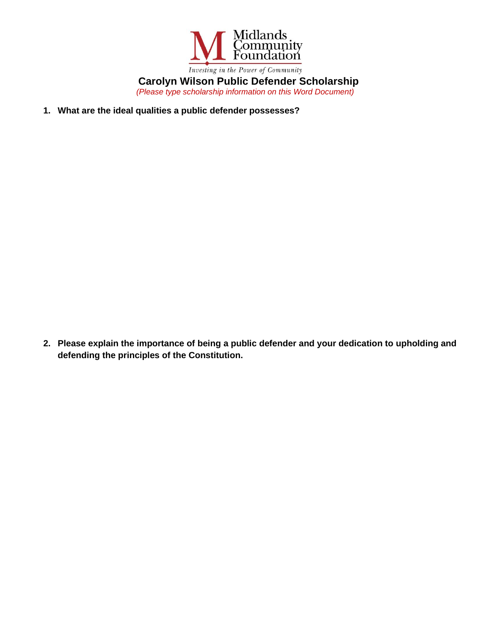

**Carolyn Wilson Public Defender Scholarship** *(Please type scholarship information on this Word Document)*

**1. What are the ideal qualities a public defender possesses?** 

**2. Please explain the importance of being a public defender and your dedication to upholding and defending the principles of the Constitution.**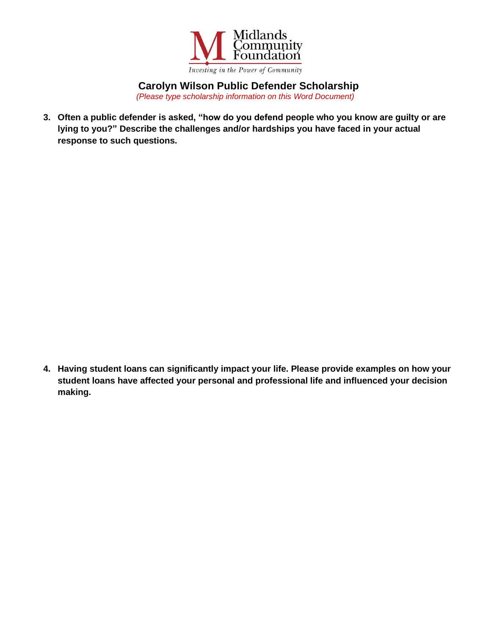

**Carolyn Wilson Public Defender Scholarship**

*(Please type scholarship information on this Word Document)*

**3. Often a public defender is asked, "how do you defend people who you know are guilty or are lying to you?" Describe the challenges and/or hardships you have faced in your actual response to such questions.** 

**4. Having student loans can significantly impact your life. Please provide examples on how your student loans have affected your personal and professional life and influenced your decision making.**